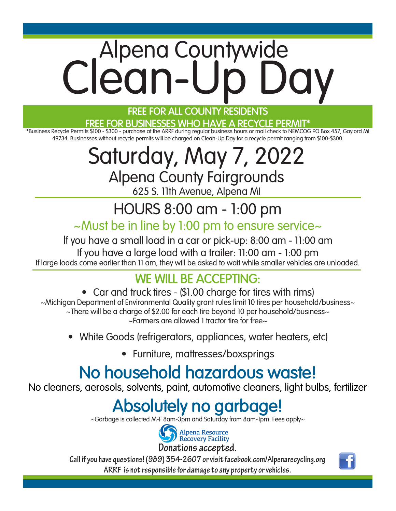# Alpena Countywide Clean-Up Day

#### **FREE FOR ALL COUNTY RESIDENTS**

#### **FREE FOR BUSINESSES WHO HAVE A RECYCLE PERMIT\***

\*Business Recycle Permits \$100 - \$300 - purchase at the ARRF during regular business hours or mail check to NEMCOG PO Box 457, Gaylord MI 49734. Businesses without recycle permits will be charged on Clean-Up Day for a recycle permit ranging from \$100-\$300.

### Saturday, May 7, 2022 Alpena County Fairgrounds

625 S. 11th Avenue, Alpena MI

## HOURS 8:00 am - 1:00 pm

#### ~Must be in line by 1:00 pm to ensure service~

If you have a small load in a car or pick-up: 8:00 am - 11:00 am If you have a large load with a trailer: 11:00 am - 1:00 pm If large loads come earlier than 11 am, they will be asked to wait while smaller vehicles are unloaded.

### **WE WILL BE ACCEPTING:**

- Car and truck tires (\$1.00 charge for tires with rims) ~Michigan Department of Environmental Quality grant rules limit 10 tires per household/business~ ~There will be a charge of \$2.00 for each tire beyond 10 per household/business~ ~Farmers are allowed 1 tractor tire for free~
	- White Goods (refrigerators, appliances, water heaters, etc)
		- Furniture, mattresses/boxsprings

## **No household hazardous waste!**

No cleaners, aerosols, solvents, paint, automotive cleaners, light bulbs, fertilizer

## **Absolutely no garbage!**

~Garbage is collected M-F 8am-3pm and Saturday from 8am-1pm. Fees apply~



**Call if you have questions! (989) 354-2607 or visit facebook.com/Alpenarecycling.org** 

**ARRF is not responsible for damage to any property or vehicles.**